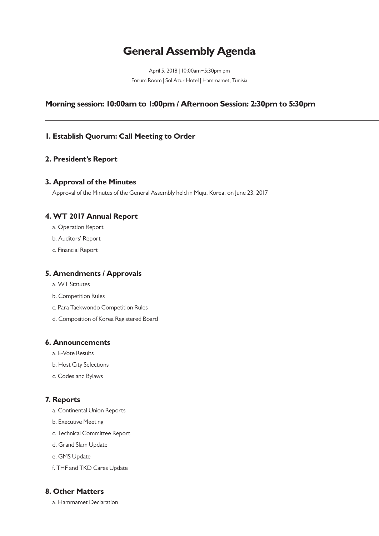# **General Assembly Agenda**

April 5, 2018 | 10:00am~5:30pm pm Forum Room | Sol Azur Hotel | Hammamet, Tunisia

## **Morning session: 10:00am to 1:00pm / Afternoon Session: 2:30pm to 5:30pm**

### **1. Establish Quorum: Call Meeting to Order**

## **2. President's Report**

#### **3. Approval of the Minutes**

Approval of the Minutes of the General Assembly held in Muju, Korea, on June 23, 2017

### **4. WT 2017 Annual Report**

- a. Operation Report
- b. Auditors' Report
- c. Financial Report

### **5. Amendments / Approvals**

- a. WT Statutes
- b. Competition Rules
- c. Para Taekwondo Competition Rules
- d. Composition of Korea Registered Board

#### **6. Announcements**

- a. E-Vote Results
- b. Host City Selections
- c. Codes and Bylaws

### **7. Reports**

- a. Continental Union Reports
- b. Executive Meeting
- c. Technical Committee Report
- d. Grand Slam Update
- e. GMS Update
- f. THF and TKD Cares Update

### **8. Other Matters**

a. Hammamet Declaration